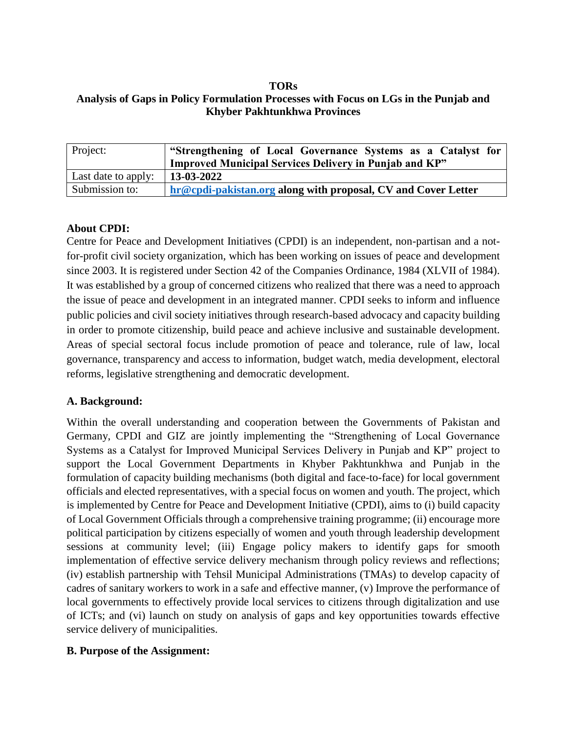#### **TORs Analysis of Gaps in Policy Formulation Processes with Focus on LGs in the Punjab and Khyber Pakhtunkhwa Provinces**

| Project:            | "Strengthening of Local Governance Systems as a Catalyst for<br><b>Improved Municipal Services Delivery in Punjab and KP"</b> |
|---------------------|-------------------------------------------------------------------------------------------------------------------------------|
| Last date to apply: | $\mid$ 13-03-2022                                                                                                             |
| Submission to:      | hr@cpdi-pakistan.org along with proposal, CV and Cover Letter                                                                 |

### **About CPDI:**

Centre for Peace and Development Initiatives (CPDI) is an independent, non-partisan and a notfor-profit civil society organization, which has been working on issues of peace and development since 2003. It is registered under Section 42 of the Companies Ordinance, 1984 (XLVII of 1984). It was established by a group of concerned citizens who realized that there was a need to approach the issue of peace and development in an integrated manner. CPDI seeks to inform and influence public policies and civil society initiatives through research-based advocacy and capacity building in order to promote citizenship, build peace and achieve inclusive and sustainable development. Areas of special sectoral focus include promotion of peace and tolerance, rule of law, local governance, transparency and access to information, budget watch, media development, electoral reforms, legislative strengthening and democratic development.

## **A. Background:**

Within the overall understanding and cooperation between the Governments of Pakistan and Germany, CPDI and GIZ are jointly implementing the "Strengthening of Local Governance Systems as a Catalyst for Improved Municipal Services Delivery in Punjab and KP" project to support the Local Government Departments in Khyber Pakhtunkhwa and Punjab in the formulation of capacity building mechanisms (both digital and face-to-face) for local government officials and elected representatives, with a special focus on women and youth. The project, which is implemented by Centre for Peace and Development Initiative (CPDI), aims to (i) build capacity of Local Government Officials through a comprehensive training programme; (ii) encourage more political participation by citizens especially of women and youth through leadership development sessions at community level; (iii) Engage policy makers to identify gaps for smooth implementation of effective service delivery mechanism through policy reviews and reflections; (iv) establish partnership with Tehsil Municipal Administrations (TMAs) to develop capacity of cadres of sanitary workers to work in a safe and effective manner, (v) Improve the performance of local governments to effectively provide local services to citizens through digitalization and use of ICTs; and (vi) launch on study on analysis of gaps and key opportunities towards effective service delivery of municipalities.

## **B. Purpose of the Assignment:**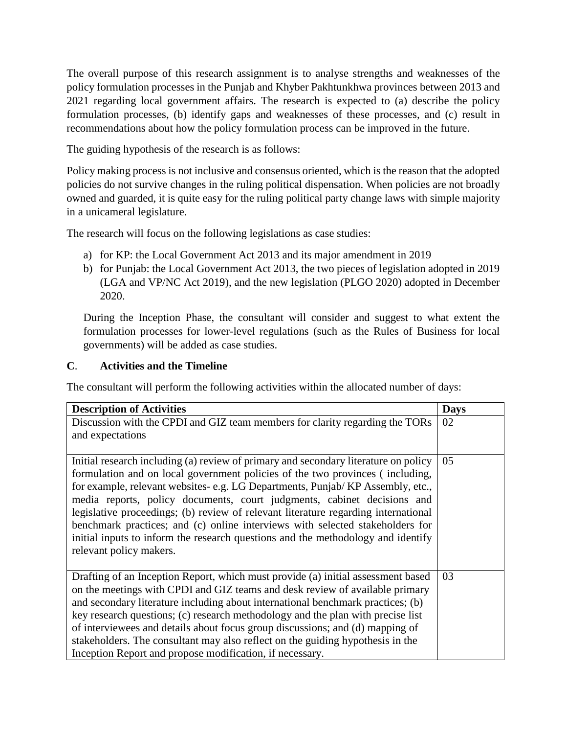The overall purpose of this research assignment is to analyse strengths and weaknesses of the policy formulation processes in the Punjab and Khyber Pakhtunkhwa provinces between 2013 and 2021 regarding local government affairs. The research is expected to (a) describe the policy formulation processes, (b) identify gaps and weaknesses of these processes, and (c) result in recommendations about how the policy formulation process can be improved in the future.

The guiding hypothesis of the research is as follows:

Policy making process is not inclusive and consensus oriented, which is the reason that the adopted policies do not survive changes in the ruling political dispensation. When policies are not broadly owned and guarded, it is quite easy for the ruling political party change laws with simple majority in a unicameral legislature.

The research will focus on the following legislations as case studies:

- a) for KP: the Local Government Act 2013 and its major amendment in 2019
- b) for Punjab: the Local Government Act 2013, the two pieces of legislation adopted in 2019 (LGA and VP/NC Act 2019), and the new legislation (PLGO 2020) adopted in December 2020.

During the Inception Phase, the consultant will consider and suggest to what extent the formulation processes for lower-level regulations (such as the Rules of Business for local governments) will be added as case studies.

## **C**. **Activities and the Timeline**

The consultant will perform the following activities within the allocated number of days:

| <b>Description of Activities</b>                                                                                                                                    | <b>Days</b> |
|---------------------------------------------------------------------------------------------------------------------------------------------------------------------|-------------|
| Discussion with the CPDI and GIZ team members for clarity regarding the TORs                                                                                        | 02          |
| and expectations                                                                                                                                                    |             |
|                                                                                                                                                                     |             |
| Initial research including (a) review of primary and secondary literature on policy                                                                                 | 05          |
| formulation and on local government policies of the two provinces (including,                                                                                       |             |
| for example, relevant websites-e.g. LG Departments, Punjab/KP Assembly, etc.,                                                                                       |             |
| media reports, policy documents, court judgments, cabinet decisions and                                                                                             |             |
| legislative proceedings; (b) review of relevant literature regarding international<br>benchmark practices; and (c) online interviews with selected stakeholders for |             |
| initial inputs to inform the research questions and the methodology and identify                                                                                    |             |
| relevant policy makers.                                                                                                                                             |             |
|                                                                                                                                                                     |             |
| Drafting of an Inception Report, which must provide (a) initial assessment based                                                                                    | 03          |
| on the meetings with CPDI and GIZ teams and desk review of available primary                                                                                        |             |
| and secondary literature including about international benchmark practices; (b)                                                                                     |             |
| key research questions; (c) research methodology and the plan with precise list                                                                                     |             |
| of interviewees and details about focus group discussions; and (d) mapping of                                                                                       |             |
| stakeholders. The consultant may also reflect on the guiding hypothesis in the                                                                                      |             |
| Inception Report and propose modification, if necessary.                                                                                                            |             |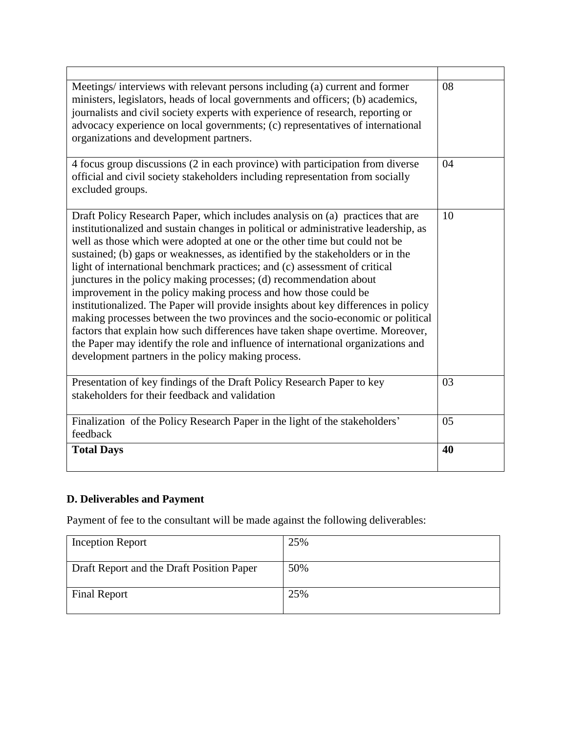| Meetings/interviews with relevant persons including (a) current and former<br>ministers, legislators, heads of local governments and officers; (b) academics,<br>journalists and civil society experts with experience of research, reporting or<br>advocacy experience on local governments; (c) representatives of international<br>organizations and development partners.                                                                                                                                                                                                                                                                                                                                                                                                                                                                                                                                                                                    | 08 |
|------------------------------------------------------------------------------------------------------------------------------------------------------------------------------------------------------------------------------------------------------------------------------------------------------------------------------------------------------------------------------------------------------------------------------------------------------------------------------------------------------------------------------------------------------------------------------------------------------------------------------------------------------------------------------------------------------------------------------------------------------------------------------------------------------------------------------------------------------------------------------------------------------------------------------------------------------------------|----|
| 4 focus group discussions (2 in each province) with participation from diverse<br>official and civil society stakeholders including representation from socially<br>excluded groups.                                                                                                                                                                                                                                                                                                                                                                                                                                                                                                                                                                                                                                                                                                                                                                             | 04 |
| Draft Policy Research Paper, which includes analysis on (a) practices that are<br>institutionalized and sustain changes in political or administrative leadership, as<br>well as those which were adopted at one or the other time but could not be<br>sustained; (b) gaps or weaknesses, as identified by the stakeholders or in the<br>light of international benchmark practices; and (c) assessment of critical<br>junctures in the policy making processes; (d) recommendation about<br>improvement in the policy making process and how those could be<br>institutionalized. The Paper will provide insights about key differences in policy<br>making processes between the two provinces and the socio-economic or political<br>factors that explain how such differences have taken shape overtime. Moreover,<br>the Paper may identify the role and influence of international organizations and<br>development partners in the policy making process. |    |
| Presentation of key findings of the Draft Policy Research Paper to key<br>stakeholders for their feedback and validation                                                                                                                                                                                                                                                                                                                                                                                                                                                                                                                                                                                                                                                                                                                                                                                                                                         | 03 |
| Finalization of the Policy Research Paper in the light of the stakeholders'<br>feedback                                                                                                                                                                                                                                                                                                                                                                                                                                                                                                                                                                                                                                                                                                                                                                                                                                                                          | 05 |
| <b>Total Days</b>                                                                                                                                                                                                                                                                                                                                                                                                                                                                                                                                                                                                                                                                                                                                                                                                                                                                                                                                                | 40 |

# **D. Deliverables and Payment**

Payment of fee to the consultant will be made against the following deliverables:

| <b>Inception Report</b>                   | 25% |
|-------------------------------------------|-----|
| Draft Report and the Draft Position Paper | 50% |
| <b>Final Report</b>                       | 25% |